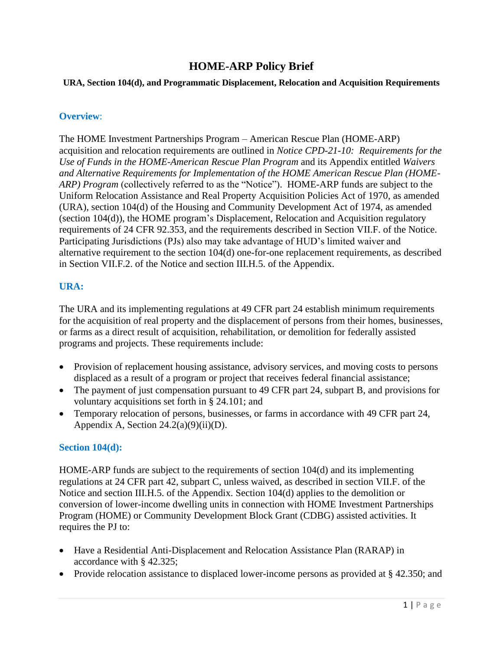# **HOME-ARP Policy Brief**

#### **URA, Section 104(d), and Programmatic Displacement, Relocation and Acquisition Requirements**

### **Overview**:

The HOME Investment Partnerships Program – American Rescue Plan (HOME-ARP) acquisition and relocation requirements are outlined in *[Notice CPD-21-10: Requirements for the](https://www.hudexchange.info/resource/6479/notice-cpd-2110-requirements-for-the-use-of-funds-in-the-home-arp-program/)  [Use of Funds in the HOME-American Rescue Plan Program](https://www.hudexchange.info/resource/6479/notice-cpd-2110-requirements-for-the-use-of-funds-in-the-home-arp-program/)* and its Appendix entitled *Waivers and Alternative Requirements for Implementation of the HOME American Rescue Plan (HOME-ARP) Program* (collectively referred to as the "Notice"). HOME-ARP funds are subject to the Uniform Relocation Assistance and Real Property Acquisition Policies Act of 1970, as amended (URA), section 104(d) of the Housing and Community Development Act of 1974, as amended (section 104(d)), the HOME program's Displacement, Relocation and Acquisition regulatory requirements of 24 CFR 92.353, and the requirements described in Section VII.F. of the Notice. Participating Jurisdictions (PJs) also may take advantage of HUD's limited waiver and alternative requirement to the section 104(d) one-for-one replacement requirements, as described in Section VII.F.2. of the Notice and section III.H.5. of the Appendix.

# **URA:**

The URA and its implementing regulations at 49 CFR part 24 establish minimum requirements for the acquisition of real property and the displacement of persons from their homes, businesses, or farms as a direct result of acquisition, rehabilitation, or demolition for federally assisted programs and projects. These requirements include:

- Provision of replacement housing assistance, advisory services, and moving costs to persons displaced as a result of a program or project that receives federal financial assistance;
- The payment of just compensation pursuant to 49 CFR part 24, subpart B, and provisions for voluntary acquisitions set forth in § 24.101; and
- Temporary relocation of persons, businesses, or farms in accordance with 49 CFR part 24, Appendix A, Section  $24.2(a)(9)(ii)(D)$ .

#### **Section 104(d):**

HOME-ARP funds are subject to the requirements of section 104(d) and its implementing regulations at 24 CFR part 42, subpart C, unless waived, as described in section VII.F. of the Notice and section III.H.5. of the Appendix. Section 104(d) applies to the demolition or conversion of lower-income dwelling units in connection with HOME Investment Partnerships Program (HOME) or Community Development Block Grant (CDBG) assisted activities. It requires the PJ to:

- Have a Residential Anti-Displacement and Relocation Assistance Plan (RARAP) in accordance with § 42.325;
- Provide relocation assistance to displaced lower-income persons as provided at § 42.350; and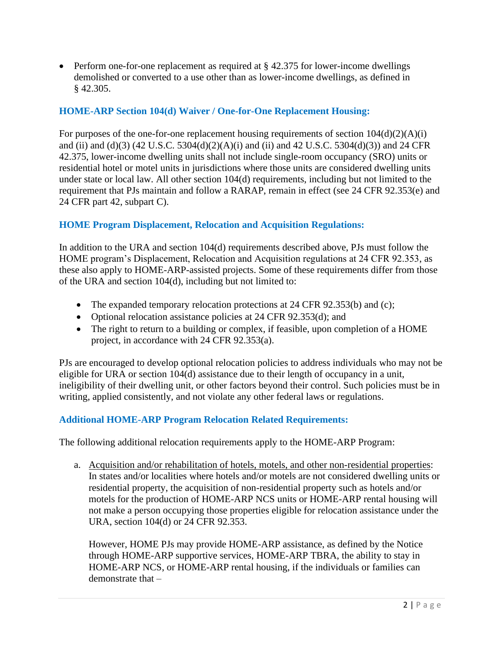• Perform one-for-one replacement as required at § 42.375 for lower-income dwellings demolished or converted to a use other than as lower-income dwellings, as defined in § 42.305.

# **HOME-ARP Section 104(d) Waiver / One-for-One Replacement Housing:**

For purposes of the one-for-one replacement housing requirements of section  $104(d)(2)(A)(i)$ and (ii) and (d)(3) (42 U.S.C. 5304(d)(2)(A)(i) and (ii) and 42 U.S.C. 5304(d)(3)) and 24 CFR 42.375, lower-income dwelling units shall not include single-room occupancy (SRO) units or residential hotel or motel units in jurisdictions where those units are considered dwelling units under state or local law. All other section 104(d) requirements, including but not limited to the requirement that PJs maintain and follow a RARAP, remain in effect (see 24 CFR 92.353(e) and 24 CFR part 42, subpart C).

#### **HOME Program Displacement, Relocation and Acquisition Regulations:**

In addition to the URA and section 104(d) requirements described above, PJs must follow the HOME program's Displacement, Relocation and Acquisition regulations at 24 CFR 92.353, as these also apply to HOME-ARP-assisted projects. Some of these requirements differ from those of the URA and section 104(d), including but not limited to:

- The expanded temporary relocation protections at 24 CFR 92.353(b) and (c);
- Optional relocation assistance policies at 24 CFR 92.353(d); and
- The right to return to a building or complex, if feasible, upon completion of a HOME project, in accordance with 24 CFR 92.353(a).

PJs are encouraged to develop optional relocation policies to address individuals who may not be eligible for URA or section 104(d) assistance due to their length of occupancy in a unit, ineligibility of their dwelling unit, or other factors beyond their control. Such policies must be in writing, applied consistently, and not violate any other federal laws or regulations.

#### **Additional HOME-ARP Program Relocation Related Requirements:**

The following additional relocation requirements apply to the HOME-ARP Program:

a. Acquisition and/or rehabilitation of hotels, motels, and other non-residential properties: In states and/or localities where hotels and/or motels are not considered dwelling units or residential property, the acquisition of non-residential property such as hotels and/or motels for the production of HOME-ARP NCS units or HOME-ARP rental housing will not make a person occupying those properties eligible for relocation assistance under the URA, section 104(d) or 24 CFR 92.353.

However, HOME PJs may provide HOME-ARP assistance, as defined by the Notice through HOME-ARP supportive services, HOME-ARP TBRA, the ability to stay in HOME-ARP NCS, or HOME-ARP rental housing, if the individuals or families can demonstrate that –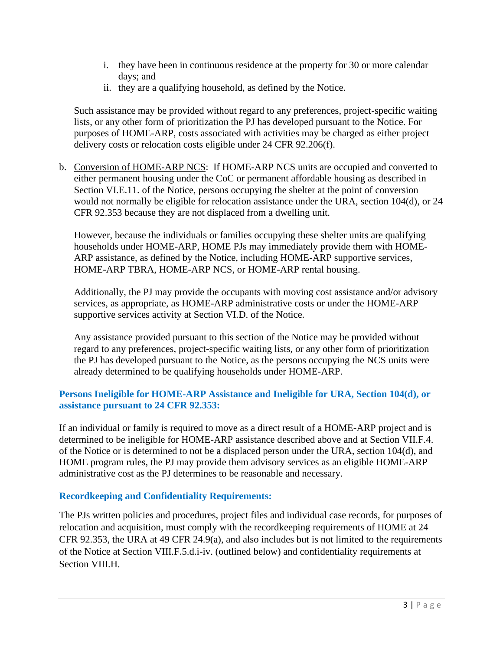- i. they have been in continuous residence at the property for 30 or more calendar days; and
- ii. they are a qualifying household, as defined by the Notice.

Such assistance may be provided without regard to any preferences, project-specific waiting lists, or any other form of prioritization the PJ has developed pursuant to the Notice. For purposes of HOME-ARP, costs associated with activities may be charged as either project delivery costs or relocation costs eligible under 24 CFR 92.206(f).

b. Conversion of HOME-ARP NCS: If HOME-ARP NCS units are occupied and converted to either permanent housing under the CoC or permanent affordable housing as described in Section VI.E.11. of the Notice, persons occupying the shelter at the point of conversion would not normally be eligible for relocation assistance under the URA, section 104(d), or 24 CFR 92.353 because they are not displaced from a dwelling unit.

However, because the individuals or families occupying these shelter units are qualifying households under HOME-ARP, HOME PJs may immediately provide them with HOME-ARP assistance, as defined by the Notice, including HOME-ARP supportive services, HOME-ARP TBRA, HOME-ARP NCS, or HOME-ARP rental housing.

Additionally, the PJ may provide the occupants with moving cost assistance and/or advisory services, as appropriate, as HOME-ARP administrative costs or under the HOME-ARP supportive services activity at Section VI.D. of the Notice.

Any assistance provided pursuant to this section of the Notice may be provided without regard to any preferences, project-specific waiting lists, or any other form of prioritization the PJ has developed pursuant to the Notice, as the persons occupying the NCS units were already determined to be qualifying households under HOME-ARP.

# **Persons Ineligible for HOME-ARP Assistance and Ineligible for URA, Section 104(d), or assistance pursuant to 24 CFR 92.353:**

If an individual or family is required to move as a direct result of a HOME-ARP project and is determined to be ineligible for HOME-ARP assistance described above and at Section VII.F.4. of the Notice or is determined to not be a displaced person under the URA, section 104(d), and HOME program rules, the PJ may provide them advisory services as an eligible HOME-ARP administrative cost as the PJ determines to be reasonable and necessary.

#### **Recordkeeping and Confidentiality Requirements:**

The PJs written policies and procedures, project files and individual case records, for purposes of relocation and acquisition, must comply with the recordkeeping requirements of HOME at 24 CFR 92.353, the URA at 49 CFR 24.9(a), and also includes but is not limited to the requirements of the Notice at Section VIII.F.5.d.i-iv. (outlined below) and confidentiality requirements at Section VIII.H.